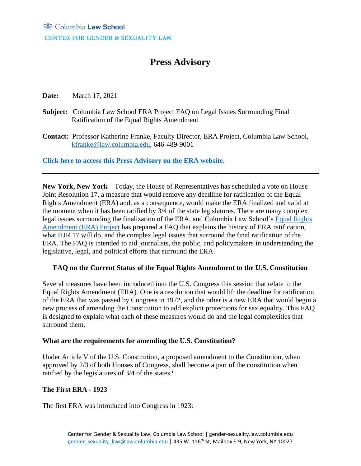# **Press Advisory**

**Date:** March 17, 2021

- **Subject:** Columbia Law School ERA Project FAQ on Legal Issues Surrounding Final Ratification of the Equal Rights Amendment
- **Contact:** Professor Katherine Franke, Faculty Director, ERA Project, Columbia Law School, [kfranke@law.columbia.edu,](mailto:kfranke@law.columbia.edu) 646-489-9001

**[Click here to access this Press Advisory on the ERA website.](https://gender-sexuality.law.columbia.edu/content/era-press-advisories#/cu_accordion_item-325)**

**New York, New York –** Today, the House of Representatives has scheduled a vote on House Joint Resolution 17, a measure that would remove any deadline for ratification of the Equal Rights Amendment (ERA) and, as a consequence, would make the ERA finalized and valid at the moment when it has been ratified by 3/4 of the state legislatures. There are many complex legal issues surrounding the finalization of the ERA, and Columbia Law School's [Equal Rights](https://gender-sexuality.law.columbia.edu/content/era-project)  [Amendment \(ERA\) Project](https://gender-sexuality.law.columbia.edu/content/era-project) has prepared a FAQ that explains the history of ERA ratification, what HJR 17 will do, and the complex legal issues that surround the final ratification of the ERA. The FAQ is intended to aid journalists, the public, and policymakers in understanding the legislative, legal, and political efforts that surround the ERA.

# **FAQ on the Current Status of the Equal Rights Amendment to the U.S. Constitution**

Several measures have been introduced into the U.S. Congress this session that relate to the Equal Rights Amendment (ERA). One is a resolution that would lift the deadline for ratification of the ERA that was passed by Congress in 1972, and the other is a new ERA that would begin a new process of amending the Constitution to add explicit protections for sex equality. This FAQ is designed to explain what each of these measures would do and the legal complexities that surround them.

## **What are the requirements for amending the U.S. Constitution?**

Under Article V of the U.S. Constitution, a proposed amendment to the Constitution, when approved by 2/3 of both Houses of Congress, shall become a part of the constitution when ratified by the legislatures of  $3/4$  of the states.<sup>i</sup>

# **The First ERA - 1923**

The first ERA was introduced into Congress in 1923: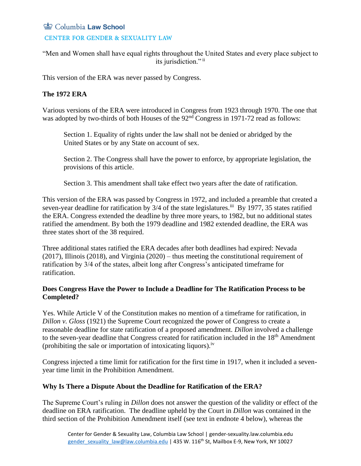## **CENTER FOR GENDER & SEXUALITY LAW**

"Men and Women shall have equal rights throughout the United States and every place subject to its jurisdiction."<sup>ii</sup>

This version of the ERA was never passed by Congress.

# **The 1972 ERA**

Various versions of the ERA were introduced in Congress from 1923 through 1970. The one that was adopted by two-thirds of both Houses of the 92<sup>nd</sup> Congress in 1971-72 read as follows:

Section 1. Equality of rights under the law shall not be denied or abridged by the United States or by any State on account of sex.

Section 2. The Congress shall have the power to enforce, by appropriate legislation, the provisions of this article.

Section 3. This amendment shall take effect two years after the date of ratification.

This version of the ERA was passed by Congress in 1972, and included a preamble that created a seven-year deadline for ratification by 3/4 of the state legislatures.<sup>iii</sup> By 1977, 35 states ratified the ERA. Congress extended the deadline by three more years, to 1982, but no additional states ratified the amendment. By both the 1979 deadline and 1982 extended deadline, the ERA was three states short of the 38 required.

Three additional states ratified the ERA decades after both deadlines had expired: Nevada (2017), Illinois (2018), and Virginia (2020) – thus meeting the constitutional requirement of ratification by 3/4 of the states, albeit long after Congress's anticipated timeframe for ratification.

## **Does Congress Have the Power to Include a Deadline for The Ratification Process to be Completed?**

Yes. While Article V of the Constitution makes no mention of a timeframe for ratification, in *Dillon v. Gloss* (1921) the Supreme Court recognized the power of Congress to create a reasonable deadline for state ratification of a proposed amendment. *Dillon* involved a challenge to the seven-year deadline that Congress created for ratification included in the 18<sup>th</sup> Amendment (prohibiting the sale or importation of intoxicating liquors).<sup>iv</sup>

Congress injected a time limit for ratification for the first time in 1917, when it included a sevenyear time limit in the Prohibition Amendment.

# **Why Is There a Dispute About the Deadline for Ratification of the ERA?**

The Supreme Court's ruling in *Dillon* does not answer the question of the validity or effect of the deadline on ERA ratification. The deadline upheld by the Court in *Dillon* was contained in the third section of the Prohibition Amendment itself (see text in endnote 4 below), whereas the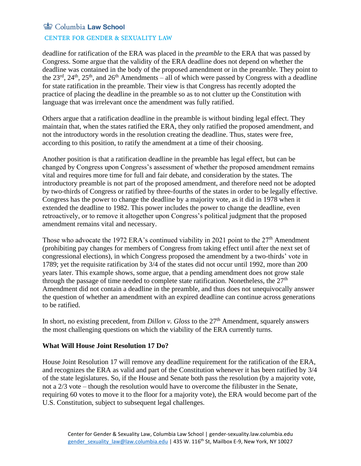#### **CENTER FOR GENDER & SEXUALITY LAW**

deadline for ratification of the ERA was placed in the *preamble* to the ERA that was passed by Congress. Some argue that the validity of the ERA deadline does not depend on whether the deadline was contained in the body of the proposed amendment or in the preamble. They point to the  $23<sup>rd</sup>$ ,  $24<sup>th</sup>$ ,  $25<sup>th</sup>$ , and  $26<sup>th</sup>$  Amendments – all of which were passed by Congress with a deadline for state ratification in the preamble. Their view is that Congress has recently adopted the practice of placing the deadline in the preamble so as to not clutter up the Constitution with language that was irrelevant once the amendment was fully ratified.

Others argue that a ratification deadline in the preamble is without binding legal effect. They maintain that, when the states ratified the ERA, they only ratified the proposed amendment, and not the introductory words in the resolution creating the deadline. Thus, states were free, according to this position, to ratify the amendment at a time of their choosing.

Another position is that a ratification deadline in the preamble has legal effect, but can be changed by Congress upon Congress's assessment of whether the proposed amendment remains vital and requires more time for full and fair debate, and consideration by the states. The introductory preamble is not part of the proposed amendment, and therefore need not be adopted by two-thirds of Congress or ratified by three-fourths of the states in order to be legally effective. Congress has the power to change the deadline by a majority vote, as it did in 1978 when it extended the deadline to 1982. This power includes the power to change the deadline, even retroactively, or to remove it altogether upon Congress's political judgment that the proposed amendment remains vital and necessary.

Those who advocate the 1972 ERA's continued viability in 2021 point to the 27<sup>th</sup> Amendment (prohibiting pay changes for members of Congress from taking effect until after the next set of congressional elections), in which Congress proposed the amendment by a two-thirds' vote in 1789; yet the requisite ratification by 3/4 of the states did not occur until 1992, more than 200 years later. This example shows, some argue, that a pending amendment does not grow stale through the passage of time needed to complete state ratification. Nonetheless, the  $27<sup>th</sup>$ Amendment did not contain a deadline in the preamble, and thus does not unequivocally answer the question of whether an amendment with an expired deadline can continue across generations to be ratified.

In short, no existing precedent, from *Dillon v. Gloss* to the 27<sup>th</sup> Amendment, squarely answers the most challenging questions on which the viability of the ERA currently turns.

## **What Will House Joint Resolution 17 Do?**

House Joint Resolution 17 will remove any deadline requirement for the ratification of the ERA, and recognizes the ERA as valid and part of the Constitution whenever it has been ratified by 3/4 of the state legislatures. So, if the House and Senate both pass the resolution (by a majority vote, not a 2/3 vote – though the resolution would have to overcome the filibuster in the Senate, requiring 60 votes to move it to the floor for a majority vote), the ERA would become part of the U.S. Constitution, subject to subsequent legal challenges.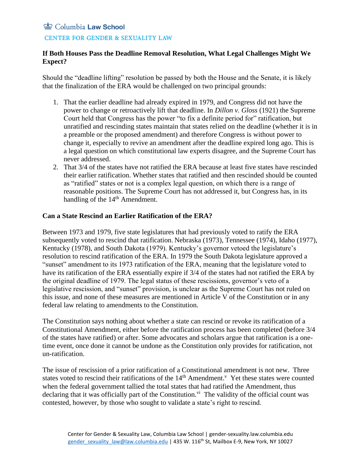#### **CENTER FOR GENDER & SEXUALITY LAW**

# **If Both Houses Pass the Deadline Removal Resolution, What Legal Challenges Might We Expect?**

Should the "deadline lifting" resolution be passed by both the House and the Senate, it is likely that the finalization of the ERA would be challenged on two principal grounds:

- 1. That the earlier deadline had already expired in 1979, and Congress did not have the power to change or retroactively lift that deadline. In *Dillon v. Gloss* (1921) the Supreme Court held that Congress has the power "to fix a definite period for" ratification, but unratified and rescinding states maintain that states relied on the deadline (whether it is in a preamble or the proposed amendment) and therefore Congress is without power to change it, especially to revive an amendment after the deadline expired long ago. This is a legal question on which constitutional law experts disagree, and the Supreme Court has never addressed.
- 2. That 3/4 of the states have not ratified the ERA because at least five states have rescinded their earlier ratification. Whether states that ratified and then rescinded should be counted as "ratified" states or not is a complex legal question, on which there is a range of reasonable positions. The Supreme Court has not addressed it, but Congress has, in its handling of the 14<sup>th</sup> Amendment.

## **Can a State Rescind an Earlier Ratification of the ERA?**

Between 1973 and 1979, five state legislatures that had previously voted to ratify the ERA subsequently voted to rescind that ratification. Nebraska (1973), Tennessee (1974), Idaho (1977), Kentucky (1978), and South Dakota (1979). Kentucky's governor vetoed the legislature's resolution to rescind ratification of the ERA. In 1979 the South Dakota legislature approved a "sunset" amendment to its 1973 ratification of the ERA, meaning that the legislature voted to have its ratification of the ERA essentially expire if 3/4 of the states had not ratified the ERA by the original deadline of 1979. The legal status of these rescissions, governor's veto of a legislative rescission, and "sunset" provision, is unclear as the Supreme Court has not ruled on this issue, and none of these measures are mentioned in Article V of the Constitution or in any federal law relating to amendments to the Constitution.

The Constitution says nothing about whether a state can rescind or revoke its ratification of a Constitutional Amendment, either before the ratification process has been completed (before 3/4 of the states have ratified) or after. Some advocates and scholars argue that ratification is a onetime event, once done it cannot be undone as the Constitution only provides for ratification, not un-ratification.

The issue of rescission of a prior ratification of a Constitutional amendment is not new. Three states voted to rescind their ratifications of the  $14<sup>th</sup>$  Amendment.<sup>v</sup> Yet these states were counted when the federal government tallied the total states that had ratified the Amendment, thus declaring that it was officially part of the Constitution.<sup>vi</sup> The validity of the official count was contested, however, by those who sought to validate a state's right to rescind.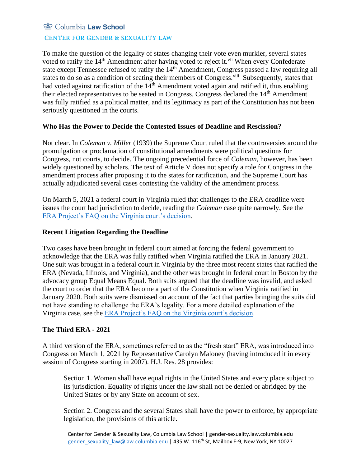## **CENTER FOR GENDER & SEXUALITY LAW**

To make the question of the legality of states changing their vote even murkier, several states voted to ratify the 14<sup>th</sup> Amendment after having voted to reject it.<sup>vii</sup> When every Confederate state except Tennessee refused to ratify the 14<sup>th</sup> Amendment, Congress passed a law requiring all states to do so as a condition of seating their members of Congress.<sup>viii</sup> Subsequently, states that had voted against ratification of the 14<sup>th</sup> Amendment voted again and ratified it, thus enabling their elected representatives to be seated in Congress. Congress declared the 14<sup>th</sup> Amendment was fully ratified as a political matter, and its legitimacy as part of the Constitution has not been seriously questioned in the courts.

## **Who Has the Power to Decide the Contested Issues of Deadline and Rescission?**

Not clear. In *Coleman v. Miller* (1939) the Supreme Court ruled that the controversies around the promulgation or proclamation of constitutional amendments were political questions for Congress, not courts, to decide. The ongoing precedential force of *Coleman*, however, has been widely questioned by scholars. The text of Article V does not specify a role for Congress in the amendment process after proposing it to the states for ratification, and the Supreme Court has actually adjudicated several cases contesting the validity of the amendment process*.* 

On March 5, 2021 a federal court in Virginia ruled that challenges to the ERA deadline were issues the court had jurisdiction to decide, reading the *Coleman* case quite narrowly. See the [ERA Project's FAQ on the Virginia court's decision.](https://gender-sexuality.law.columbia.edu/sites/default/files/content/FAQ%20on%20court%20dismissal%20of%20Virginia%20v%20Ferriero.pdf)

#### **Recent Litigation Regarding the Deadline**

Two cases have been brought in federal court aimed at forcing the federal government to acknowledge that the ERA was fully ratified when Virginia ratified the ERA in January 2021. One suit was brought in a federal court in Virginia by the three most recent states that ratified the ERA (Nevada, Illinois, and Virginia), and the other was brought in federal court in Boston by the advocacy group Equal Means Equal. Both suits argued that the deadline was invalid, and asked the court to order that the ERA become a part of the Constitution when Virginia ratified in January 2020. Both suits were dismissed on account of the fact that parties bringing the suits did not have standing to challenge the ERA's legality. For a more detailed explanation of the Virginia case, see the [ERA Project's FAQ on the Virginia court's decision.](https://gender-sexuality.law.columbia.edu/sites/default/files/content/FAQ%20on%20court%20dismissal%20of%20Virginia%20v%20Ferriero.pdf)

## **The Third ERA - 2021**

A third version of the ERA, sometimes referred to as the "fresh start" ERA, was introduced into Congress on March 1, 2021 by Representative Carolyn Maloney (having introduced it in every session of Congress starting in 2007). H.J. Res. 28 provides:

Section 1. Women shall have equal rights in the United States and every place subject to its jurisdiction. Equality of rights under the law shall not be denied or abridged by the United States or by any State on account of sex.

Section 2. Congress and the several States shall have the power to enforce, by appropriate legislation, the provisions of this article.

Center for Gender & Sexuality Law, Columbia Law School | gender-sexuality.law.columbia.edu [gender\\_sexuality\\_law@law.columbia.edu](mailto:gender_sexuality_law@law.columbia.edu) | 435 W. 116<sup>th</sup> St, Mailbox E-9, New York, NY 10027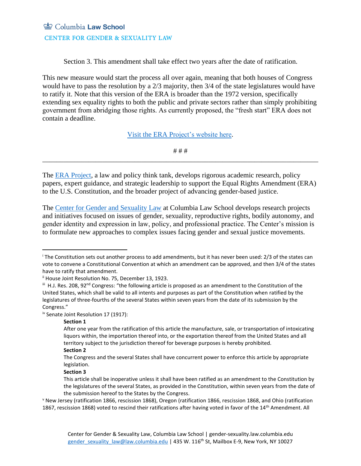# Columbia Law School **CENTER FOR GENDER & SEXUALITY LAW**

Section 3. This amendment shall take effect two years after the date of ratification.

This new measure would start the process all over again, meaning that both houses of Congress would have to pass the resolution by a 2/3 majority, then 3/4 of the state legislatures would have to ratify it. Note that this version of the ERA is broader than the 1972 version, specifically extending sex equality rights to both the public and private sectors rather than simply prohibiting government from abridging those rights. As currently proposed, the "fresh start" ERA does not contain a deadline.

[Visit the ERA Project's website here.](https://gender-sexuality.law.columbia.edu/content/era-project)

# # # \_\_\_\_\_\_\_\_\_\_\_\_\_\_\_\_\_\_\_\_\_\_\_\_\_\_\_\_\_\_\_\_\_\_\_\_\_\_\_\_\_\_\_\_\_\_\_\_\_\_\_\_\_\_\_\_\_\_\_\_\_\_\_\_\_\_\_\_\_\_\_\_\_\_\_\_\_\_

The [ERA Project,](https://gender-sexuality.law.columbia.edu/content/era-project) a law and policy think tank, develops rigorous academic research, policy papers, expert guidance, and strategic leadership to support the Equal Rights Amendment (ERA) to the U.S. Constitution, and the broader project of advancing gender-based justice.

The [Center for Gender and Sexuality Law](https://gender-sexuality.law.columbia.edu/) at Columbia Law School develops research projects and initiatives focused on issues of gender, sexuality, reproductive rights, bodily autonomy, and gender identity and expression in law, policy, and professional practice. The Center's mission is to formulate new approaches to complex issues facing gender and sexual justice movements.

iv Senate Joint Resolution 17 (1917):

#### **Section 1**

#### **Section 2**

#### **Section 3**

<sup>i</sup> The Constitution sets out another process to add amendments, but it has never been used: 2/3 of the states can vote to convene a Constitutional Convention at which an amendment can be approved, and then 3/4 of the states have to ratify that amendment.

<sup>&</sup>lt;sup>ii</sup> House Joint Resolution No. 75, December 13, 1923.

iii H.J. Res. 208, 92<sup>nd</sup> Congress: "the following article is proposed as an amendment to the Constitution of the United States, which shall be valid to all intents and purposes as part of the Constitution when ratified by the legislatures of three-fourths of the several States within seven years from the date of its submission by the Congress."

After one year from the ratification of this article the manufacture, sale, or transportation of intoxicating liquors within, the importation thereof into, or the exportation thereof from the United States and all territory subject to the jurisdiction thereof for beverage purposes is hereby prohibited.

The Congress and the several States shall have concurrent power to enforce this article by appropriate legislation.

This article shall be inoperative unless it shall have been ratified as an amendment to the Constitution by the legislatures of the several States, as provided in the Constitution, within seven years from the date of the submission hereof to the States by the Congress.

<sup>v</sup> New Jersey (ratification 1866, rescission 1868), Oregon (ratification 1866, rescission 1868, and Ohio (ratification 1867, rescission 1868) voted to rescind their ratifications after having voted in favor of the 14<sup>th</sup> Amendment. All